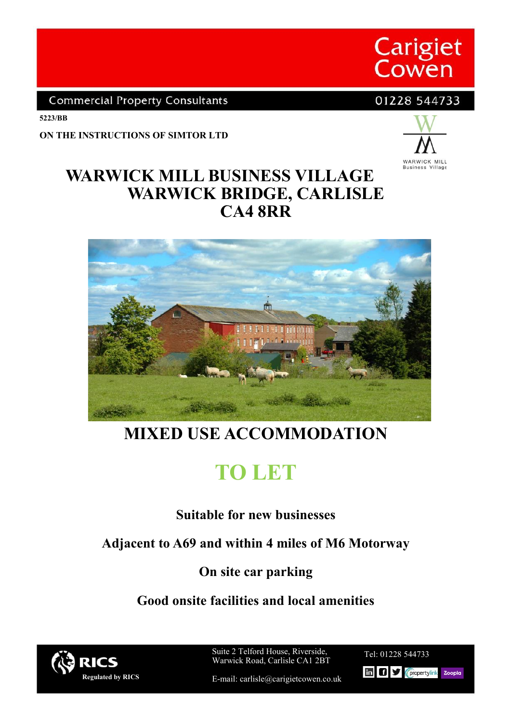

**Commercial Property Consultants** 

01228 544733

**5223/BB**

**ON THE INSTRUCTIONS OF SIMTOR LTD**



## **WARWICK MILL BUSINESS VILLAGE WARWICK BRIDGE, CARLISLE CA4 8RR**



# **MIXED USE ACCOMMODATION**

**TO LET**

### **Suitable for new businesses**

**Adjacent to A69 and within 4 miles of M6 Motorway**

### **On site car parking**

**Good onsite facilities and local amenities**



Suite 2 Telford House, Riverside, Warwick Road, Carlisle CA1 2BT

Tel: 01228 544733 Tel: 01228 544733

E-mail: carlisle@carigietcowen.co.uk

**In Cliff** Cpropertylink Zoopla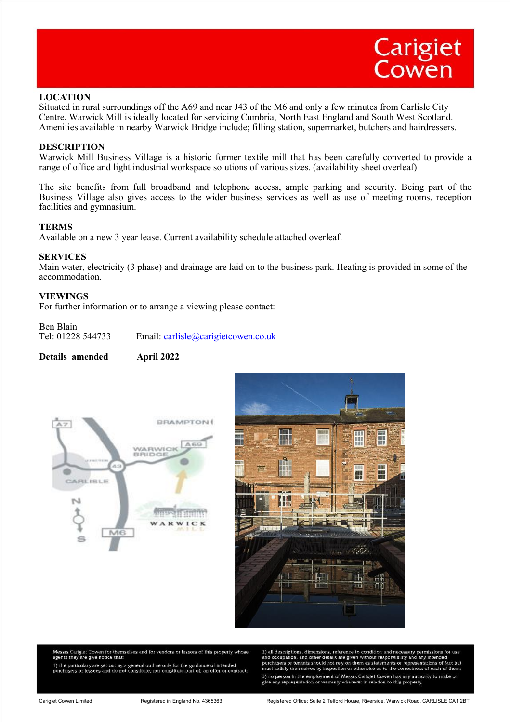

#### **LOCATION**

Situated in rural surroundings off the A69 and near J43 of the M6 and only a few minutes from Carlisle City Centre, Warwick Mill is ideally located for servicing Cumbria, North East England and South West Scotland. Amenities available in nearby Warwick Bridge include; filling station, supermarket, butchers and hairdressers.

#### **DESCRIPTION**

Warwick Mill Business Village is a historic former textile mill that has been carefully converted to provide a range of office and light industrial workspace solutions of various sizes. (availability sheet overleaf)

The site benefits from full broadband and telephone access, ample parking and security. Being part of the Business Village also gives access to the wider business services as well as use of meeting rooms, reception facilities and gymnasium.

#### **TERMS**

Available on a new 3 year lease. Current availability schedule attached overleaf.

#### **SERVICES**

Main water, electricity (3 phase) and drainage are laid on to the business park. Heating is provided in some of the accommodation.

#### **VIEWINGS**

For further information or to arrange a viewing please contact:

# Ben Blain<br>Tel: 01228 544733

Email: carlisle@carigietcowen.co.uk

#### **Details amended April 2022**





Messrs Cariglet Cowen for themselves and for vendors or lessors of this property whose<br>agents they are give notice that:

1) the particulars are set out as a general outline only for the guidance of intended<br>purchasers or lessees and do not constitute, nor constitute part of, an offer or contract;

2) all descriptions, dimensions, reference to condition and necessary permissions for use<br>and occupation, and other details are given without responsibility and any intended<br>purchasers or tenants should not rely on them as must satisfy themselves by inspection or otherwise as to the correctness of each of the 3) no person in the employment of Messrs Cariglet Cowen has any authority to make of give any representation or warranty whatever in relation to this property.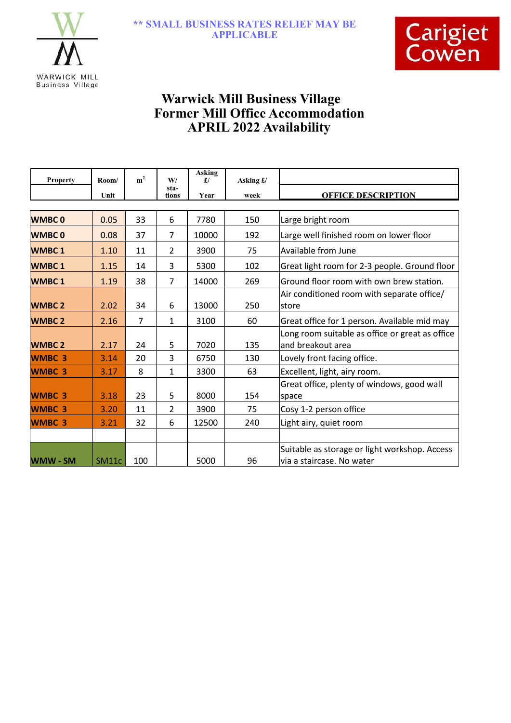



### **Warwick Mill Business Village Former Mill Office Accommodation APRIL 2022 Availability**

| <b>Property</b> | Room/ | m <sup>2</sup> | W/             | <b>Asking</b><br>f | Asking £/ |                                                                            |
|-----------------|-------|----------------|----------------|--------------------|-----------|----------------------------------------------------------------------------|
|                 | Unit  |                | sta-<br>tions  | Year               | week      | <b>OFFICE DESCRIPTION</b>                                                  |
|                 |       |                |                |                    |           |                                                                            |
| <b>WMBC0</b>    | 0.05  | 33             | 6              | 7780               | 150       | Large bright room                                                          |
| <b>WMBC0</b>    | 0.08  | 37             | 7              | 10000              | 192       | Large well finished room on lower floor                                    |
| <b>WMBC1</b>    | 1.10  | 11             | 2              | 3900               | 75        | Available from June                                                        |
| <b>WMBC1</b>    | 1.15  | 14             | 3              | 5300               | 102       | Great light room for 2-3 people. Ground floor                              |
| <b>WMBC1</b>    | 1.19  | 38             | $\overline{7}$ | 14000              | 269       | Ground floor room with own brew station.                                   |
|                 |       |                |                |                    |           | Air conditioned room with separate office/                                 |
| <b>WMBC 2</b>   | 2.02  | 34             | 6              | 13000              | 250       | <b>store</b>                                                               |
| <b>WMBC 2</b>   | 2.16  | $\overline{7}$ | $\mathbf{1}$   | 3100               | 60        | Great office for 1 person. Available mid may                               |
|                 |       |                |                |                    |           | Long room suitable as office or great as office                            |
| <b>WMBC 2</b>   | 2.17  | 24             | 5              | 7020               | 135       | and breakout area                                                          |
| <b>WMBC 3</b>   | 3.14  | 20             | 3              | 6750               | 130       | Lovely front facing office.                                                |
| <b>WMBC 3</b>   | 3.17  | 8              | $\mathbf{1}$   | 3300               | 63        | Excellent, light, airy room.                                               |
|                 |       |                |                |                    |           | Great office, plenty of windows, good wall                                 |
| <b>WMBC 3</b>   | 3.18  | 23             | 5              | 8000               | 154       | space                                                                      |
| <b>WMBC 3</b>   | 3.20  | 11             | $\overline{2}$ | 3900               | 75        | Cosy 1-2 person office                                                     |
| <b>WMBC 3</b>   | 3.21  | 32             | 6              | 12500              | 240       | Light airy, quiet room                                                     |
|                 |       |                |                |                    |           |                                                                            |
| <b>WMW - SM</b> | SM11c | 100            |                | 5000               | 96        | Suitable as storage or light workshop. Access<br>via a staircase. No water |
|                 |       |                |                |                    |           |                                                                            |